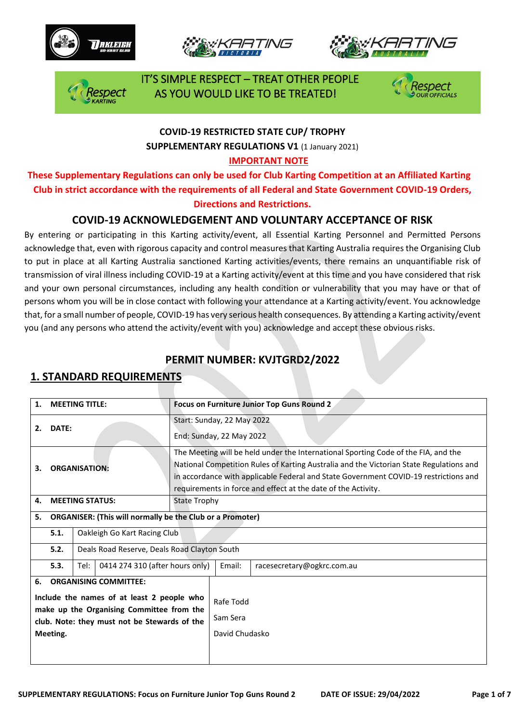







 IT'S SIMPLE RESPECT – TREAT OTHER PEOPLE AS YOU WOULD LIKE TO BE TREATED!



### **COVID-19 RESTRICTED STATE CUP/ TROPHY SUPPLEMENTARY REGULATIONS V1** (1 January 2021)

#### **IMPORTANT NOTE**

**These Supplementary Regulations can only be used for Club Karting Competition at an Affiliated Karting Club in strict accordance with the requirements of all Federal and State Government COVID-19 Orders, Directions and Restrictions.** 

#### **COVID-19 ACKNOWLEDGEMENT AND VOLUNTARY ACCEPTANCE OF RISK**

By entering or participating in this Karting activity/event, all Essential Karting Personnel and Permitted Persons acknowledge that, even with rigorous capacity and control measures that Karting Australia requires the Organising Club to put in place at all Karting Australia sanctioned Karting activities/events, there remains an unquantifiable risk of transmission of viral illness including COVID-19 at a Karting activity/event at this time and you have considered that risk and your own personal circumstances, including any health condition or vulnerability that you may have or that of persons whom you will be in close contact with following your attendance at a Karting activity/event. You acknowledge that, for a small number of people, COVID-19 has very serious health consequences. By attending a Karting activity/event you (and any persons who attend the activity/event with you) acknowledge and accept these obvious risks.

#### **PERMIT NUMBER: KVJTGRD2/2022**

#### **1. STANDARD REQUIREMENTS**

| 1.                                                                                                                                                                                        | <b>MEETING TITLE:</b>                                            |                                              |                              |                     |                       | Focus on Furniture Junior Top Guns Round 2                                                                                                                                                                                                                                                                                             |  |  |  |
|-------------------------------------------------------------------------------------------------------------------------------------------------------------------------------------------|------------------------------------------------------------------|----------------------------------------------|------------------------------|---------------------|-----------------------|----------------------------------------------------------------------------------------------------------------------------------------------------------------------------------------------------------------------------------------------------------------------------------------------------------------------------------------|--|--|--|
| 2.                                                                                                                                                                                        | DATE:                                                            |                                              |                              |                     |                       | Start: Sunday, 22 May 2022<br>End: Sunday, 22 May 2022                                                                                                                                                                                                                                                                                 |  |  |  |
| 3.                                                                                                                                                                                        | <b>ORGANISATION:</b>                                             |                                              |                              |                     |                       | The Meeting will be held under the International Sporting Code of the FIA, and the<br>National Competition Rules of Karting Australia and the Victorian State Regulations and<br>in accordance with applicable Federal and State Government COVID-19 restrictions and<br>requirements in force and effect at the date of the Activity. |  |  |  |
| 4.                                                                                                                                                                                        |                                                                  | <b>MEETING STATUS:</b>                       |                              | <b>State Trophy</b> |                       |                                                                                                                                                                                                                                                                                                                                        |  |  |  |
| 5.                                                                                                                                                                                        | <b>ORGANISER: (This will normally be the Club or a Promoter)</b> |                                              |                              |                     |                       |                                                                                                                                                                                                                                                                                                                                        |  |  |  |
|                                                                                                                                                                                           | 5.1.                                                             |                                              | Oakleigh Go Kart Racing Club |                     |                       |                                                                                                                                                                                                                                                                                                                                        |  |  |  |
|                                                                                                                                                                                           | 5.2.                                                             | Deals Road Reserve, Deals Road Clayton South |                              |                     |                       |                                                                                                                                                                                                                                                                                                                                        |  |  |  |
|                                                                                                                                                                                           | 5.3.                                                             | 0414 274 310 (after hours only)<br>Tel:      |                              |                     | Email:                | racesecretary@ogkrc.com.au                                                                                                                                                                                                                                                                                                             |  |  |  |
| <b>ORGANISING COMMITTEE:</b><br>6.<br>Include the names of at least 2 people who<br>make up the Organising Committee from the<br>club. Note: they must not be Stewards of the<br>Meeting. |                                                                  |                                              |                              |                     | Rafe Todd<br>Sam Sera |                                                                                                                                                                                                                                                                                                                                        |  |  |  |
|                                                                                                                                                                                           |                                                                  |                                              |                              |                     | David Chudasko        |                                                                                                                                                                                                                                                                                                                                        |  |  |  |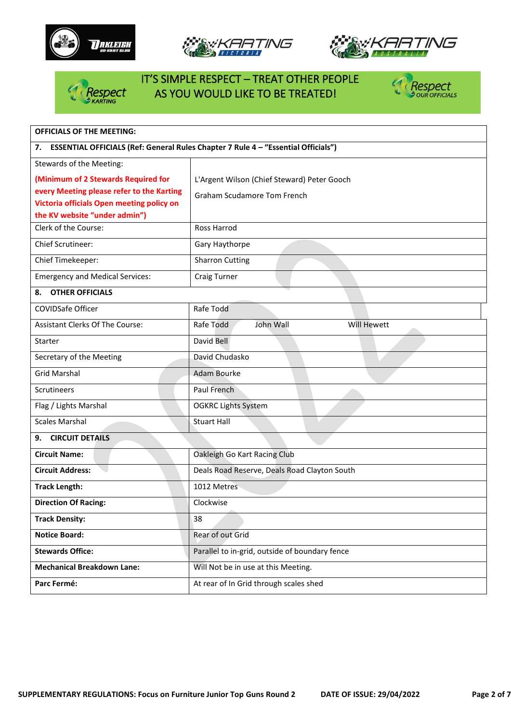







# IT'S SIMPLE RESPECT – TREAT OTHER PEOPLE Respect AS YOU WOULD LIKE TO BE TREATED!



| <b>OFFICIALS OF THE MEETING:</b>                                                        |                                                |  |  |  |  |  |
|-----------------------------------------------------------------------------------------|------------------------------------------------|--|--|--|--|--|
| ESSENTIAL OFFICIALS (Ref: General Rules Chapter 7 Rule 4 - "Essential Officials")<br>7. |                                                |  |  |  |  |  |
| Stewards of the Meeting:                                                                |                                                |  |  |  |  |  |
| (Minimum of 2 Stewards Required for                                                     | L'Argent Wilson (Chief Steward) Peter Gooch    |  |  |  |  |  |
| every Meeting please refer to the Karting                                               | <b>Graham Scudamore Tom French</b>             |  |  |  |  |  |
| Victoria officials Open meeting policy on<br>the KV website "under admin")              |                                                |  |  |  |  |  |
| Clerk of the Course:                                                                    | Ross Harrod                                    |  |  |  |  |  |
| <b>Chief Scrutineer:</b>                                                                | Gary Haythorpe                                 |  |  |  |  |  |
| Chief Timekeeper:                                                                       | <b>Sharron Cutting</b>                         |  |  |  |  |  |
| <b>Emergency and Medical Services:</b>                                                  | <b>Craig Turner</b>                            |  |  |  |  |  |
| <b>OTHER OFFICIALS</b><br>8.                                                            |                                                |  |  |  |  |  |
| COVIDSafe Officer                                                                       | Rafe Todd                                      |  |  |  |  |  |
| <b>Assistant Clerks Of The Course:</b>                                                  | <b>Will Hewett</b><br>Rafe Todd<br>John Wall   |  |  |  |  |  |
| Starter                                                                                 | David Bell                                     |  |  |  |  |  |
| Secretary of the Meeting                                                                | David Chudasko                                 |  |  |  |  |  |
| <b>Grid Marshal</b>                                                                     | <b>Adam Bourke</b>                             |  |  |  |  |  |
| <b>Scrutineers</b>                                                                      | Paul French                                    |  |  |  |  |  |
| Flag / Lights Marshal                                                                   | <b>OGKRC Lights System</b>                     |  |  |  |  |  |
| <b>Scales Marshal</b>                                                                   | <b>Stuart Hall</b>                             |  |  |  |  |  |
| <b>CIRCUIT DETAILS</b><br>9.                                                            |                                                |  |  |  |  |  |
| <b>Circuit Name:</b>                                                                    | Oakleigh Go Kart Racing Club                   |  |  |  |  |  |
| <b>Circuit Address:</b>                                                                 | Deals Road Reserve, Deals Road Clayton South   |  |  |  |  |  |
| <b>Track Length:</b>                                                                    | 1012 Metres                                    |  |  |  |  |  |
| <b>Direction Of Racing:</b>                                                             | Clockwise                                      |  |  |  |  |  |
| <b>Track Density:</b>                                                                   | 38                                             |  |  |  |  |  |
| <b>Notice Board:</b>                                                                    | Rear of out Grid                               |  |  |  |  |  |
| <b>Stewards Office:</b>                                                                 | Parallel to in-grid, outside of boundary fence |  |  |  |  |  |
| <b>Mechanical Breakdown Lane:</b>                                                       | Will Not be in use at this Meeting.            |  |  |  |  |  |
| Parc Fermé:                                                                             | At rear of In Grid through scales shed         |  |  |  |  |  |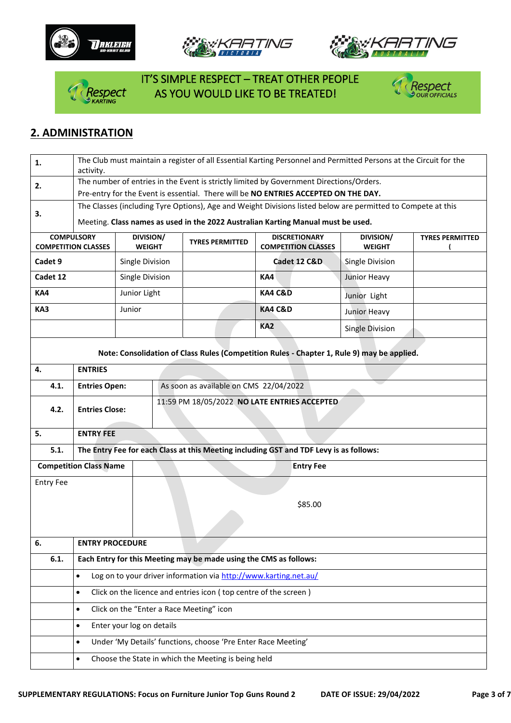







 IT'S SIMPLE RESPECT – TREAT OTHER PEOPLE *PESPECT AS YOU WOULD LIKE TO BE TREATED!* 



#### **2. ADMINISTRATION**

| 1.                                                                                             | The Club must maintain a register of all Essential Karting Personnel and Permitted Persons at the Circuit for the<br>activity. |                           |  |                                                                   |                                                                                            |                            |                        |  |  |  |
|------------------------------------------------------------------------------------------------|--------------------------------------------------------------------------------------------------------------------------------|---------------------------|--|-------------------------------------------------------------------|--------------------------------------------------------------------------------------------|----------------------------|------------------------|--|--|--|
|                                                                                                | The number of entries in the Event is strictly limited by Government Directions/Orders.                                        |                           |  |                                                                   |                                                                                            |                            |                        |  |  |  |
| 2.                                                                                             | Pre-entry for the Event is essential. There will be NO ENTRIES ACCEPTED ON THE DAY.                                            |                           |  |                                                                   |                                                                                            |                            |                        |  |  |  |
|                                                                                                | The Classes (including Tyre Options), Age and Weight Divisions listed below are permitted to Compete at this                   |                           |  |                                                                   |                                                                                            |                            |                        |  |  |  |
| 3.                                                                                             | Meeting. Class names as used in the 2022 Australian Karting Manual must be used.                                               |                           |  |                                                                   |                                                                                            |                            |                        |  |  |  |
| <b>COMPULSORY</b><br><b>COMPETITION CLASSES</b>                                                | DIVISION/<br><b>WEIGHT</b>                                                                                                     |                           |  | <b>TYRES PERMITTED</b>                                            | <b>DISCRETIONARY</b><br><b>COMPETITION CLASSES</b>                                         | DIVISION/<br><b>WEIGHT</b> | <b>TYRES PERMITTED</b> |  |  |  |
| Cadet 9                                                                                        |                                                                                                                                | Single Division           |  |                                                                   | Cadet 12 C&D                                                                               | <b>Single Division</b>     |                        |  |  |  |
| Cadet 12                                                                                       |                                                                                                                                | Single Division           |  |                                                                   | KA4                                                                                        | Junior Heavy               |                        |  |  |  |
| KA4                                                                                            |                                                                                                                                | Junior Light              |  |                                                                   | <b>KA4 C&amp;D</b>                                                                         | Junior Light               |                        |  |  |  |
| KA3                                                                                            |                                                                                                                                | Junior                    |  |                                                                   | <b>KA4 C&amp;D</b>                                                                         | Junior Heavy               |                        |  |  |  |
|                                                                                                |                                                                                                                                |                           |  |                                                                   | KA <sub>2</sub>                                                                            | <b>Single Division</b>     |                        |  |  |  |
|                                                                                                |                                                                                                                                |                           |  |                                                                   | Note: Consolidation of Class Rules (Competition Rules - Chapter 1, Rule 9) may be applied. |                            |                        |  |  |  |
| 4.                                                                                             | <b>ENTRIES</b>                                                                                                                 |                           |  |                                                                   |                                                                                            |                            |                        |  |  |  |
| 4.1.                                                                                           | <b>Entries Open:</b>                                                                                                           |                           |  | As soon as available on CMS 22/04/2022                            |                                                                                            |                            |                        |  |  |  |
| 4.2.                                                                                           | <b>Entries Close:</b>                                                                                                          |                           |  | 11:59 PM 18/05/2022 NO LATE ENTRIES ACCEPTED                      |                                                                                            |                            |                        |  |  |  |
| <b>ENTRY FEE</b><br>5.                                                                         |                                                                                                                                |                           |  |                                                                   |                                                                                            |                            |                        |  |  |  |
| The Entry Fee for each Class at this Meeting including GST and TDF Levy is as follows:<br>5.1. |                                                                                                                                |                           |  |                                                                   |                                                                                            |                            |                        |  |  |  |
| <b>Competition Class Name</b><br><b>Entry Fee</b>                                              |                                                                                                                                |                           |  |                                                                   |                                                                                            |                            |                        |  |  |  |
| <b>Entry Fee</b>                                                                               |                                                                                                                                |                           |  |                                                                   |                                                                                            |                            |                        |  |  |  |
|                                                                                                |                                                                                                                                |                           |  |                                                                   | \$85.00                                                                                    |                            |                        |  |  |  |
|                                                                                                |                                                                                                                                |                           |  |                                                                   |                                                                                            |                            |                        |  |  |  |
| 6.                                                                                             | <b>ENTRY PROCEDURE</b>                                                                                                         |                           |  |                                                                   |                                                                                            |                            |                        |  |  |  |
| 6.1.                                                                                           |                                                                                                                                |                           |  | Each Entry for this Meeting may be made using the CMS as follows: |                                                                                            |                            |                        |  |  |  |
|                                                                                                | Log on to your driver information via http://www.karting.net.au/<br>$\bullet$                                                  |                           |  |                                                                   |                                                                                            |                            |                        |  |  |  |
|                                                                                                | Click on the licence and entries icon (top centre of the screen)<br>$\bullet$                                                  |                           |  |                                                                   |                                                                                            |                            |                        |  |  |  |
|                                                                                                | $\bullet$                                                                                                                      |                           |  | Click on the "Enter a Race Meeting" icon                          |                                                                                            |                            |                        |  |  |  |
|                                                                                                | $\bullet$                                                                                                                      | Enter your log on details |  |                                                                   |                                                                                            |                            |                        |  |  |  |
|                                                                                                | $\bullet$                                                                                                                      |                           |  | Under 'My Details' functions, choose 'Pre Enter Race Meeting'     |                                                                                            |                            |                        |  |  |  |
|                                                                                                | $\bullet$                                                                                                                      |                           |  | Choose the State in which the Meeting is being held               |                                                                                            |                            |                        |  |  |  |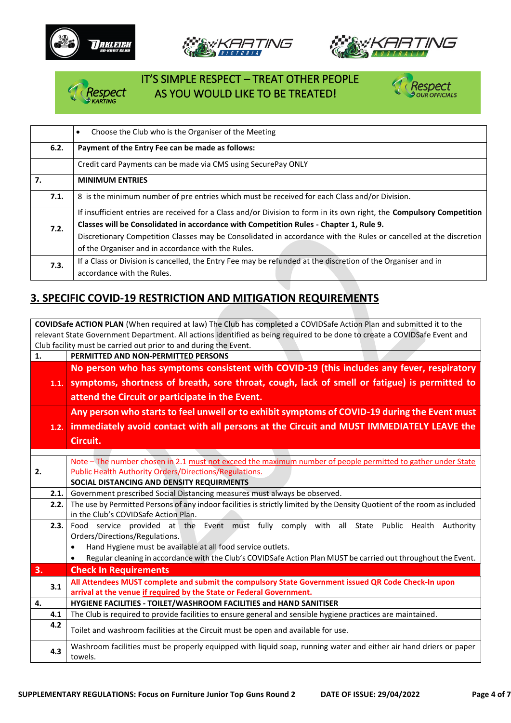







# IT'S SIMPLE RESPECT – TREAT OTHER PEOPLE AS YOU WOULD LIKE TO BE TREATED!



|    |      | Choose the Club who is the Organiser of the Meeting<br>$\bullet$                                                      |
|----|------|-----------------------------------------------------------------------------------------------------------------------|
|    | 6.2. | Payment of the Entry Fee can be made as follows:                                                                      |
|    |      | Credit card Payments can be made via CMS using SecurePay ONLY                                                         |
| 7. |      | <b>MINIMUM ENTRIES</b>                                                                                                |
|    | 7.1. | 8 is the minimum number of pre entries which must be received for each Class and/or Division.                         |
|    |      | If insufficient entries are received for a Class and/or Division to form in its own right, the Compulsory Competition |
|    | 7.2. | Classes will be Consolidated in accordance with Competition Rules - Chapter 1, Rule 9.                                |
|    |      | Discretionary Competition Classes may be Consolidated in accordance with the Rules or cancelled at the discretion     |
|    |      | of the Organiser and in accordance with the Rules.                                                                    |
|    | 7.3. | If a Class or Division is cancelled, the Entry Fee may be refunded at the discretion of the Organiser and in          |
|    |      | accordance with the Rules.                                                                                            |

# **3. SPECIFIC COVID-19 RESTRICTION AND MITIGATION REQUIREMENTS**

**COVIDSafe ACTION PLAN** (When required at law) The Club has completed a COVIDSafe Action Plan and submitted it to the relevant State Government Department. All actions identified as being required to be done to create a COVIDSafe Event and Club facility must be carried out prior to and during the Event. **1. PERMITTED AND NON-PERMITTED PERSONS 1.1. symptoms, shortness of breath, sore throat, cough, lack of smell or fatigue) is permitted to No person who has symptoms consistent with COVID-19 (this includes any fever, respiratory attend the Circuit or participate in the Event. 1.2. immediately avoid contact with all persons at the Circuit and MUST IMMEDIATELY LEAVE the Any person who starts to feel unwell or to exhibit symptoms of COVID-19 during the Event must Circuit. 2.** Note – The number chosen in 2.1 must not exceed the maximum number of people permitted to gather under State Public Health Authority Orders/Directions/Regulations. **SOCIAL DISTANCING AND DENSITY REQUIRMENTS 2.1.** Government prescribed Social Distancing measures must always be observed. **2.2.** The use by Permitted Persons of any indoor facilities is strictly limited by the Density Quotient of the room as included in the Club's COVIDSafe Action Plan. **2.3.** Food service provided at the Event must fully comply with all State Public Health Authority Orders/Directions/Regulations. • Hand Hygiene must be available at all food service outlets. • Regular cleaning in accordance with the Club's COVIDSafe Action Plan MUST be carried out throughout the Event. **3. Check In Requirements 3.1 All Attendees MUST complete and submit the compulsory State Government issued QR Code Check-In upon arrival at the venue if required by the State or Federal Government. 4. HYGIENE FACILITIES - TOILET/WASHROOM FACILITIES and HAND SANITISER 4.1** The Club is required to provide facilities to ensure general and sensible hygiene practices are maintained. **4.2** Toilet and washroom facilities at the Circuit must be open and available for use. **4.3** Washroom facilities must be properly equipped with liquid soap, running water and either air hand driers or paper towels.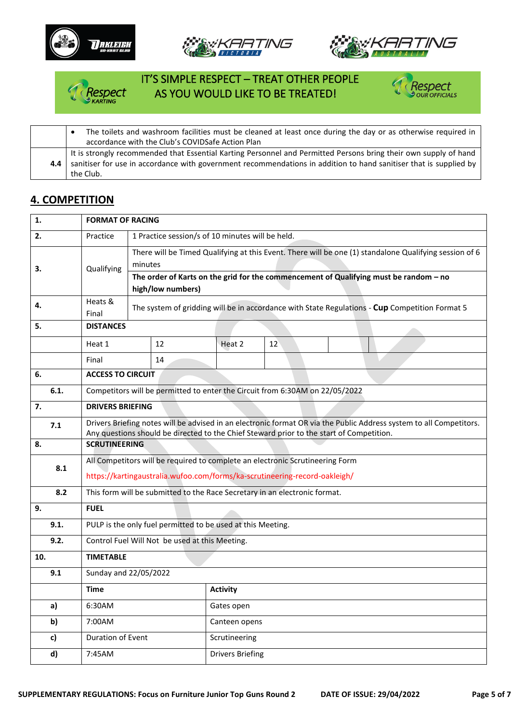









• The toilets and washroom facilities must be cleaned at least once during the day or as otherwise required in accordance with the Club's COVIDSafe Action Plan **4.4** It is strongly recommended that Essential Karting Personnel and Permitted Persons bring their own supply of hand sanitiser for use in accordance with government recommendations in addition to hand sanitiser that is supplied by the Club.

### **4. COMPETITION**

| 1.   | <b>FORMAT OF RACING</b>                                                       |                                                                                                                                                                                                                 |  |                                                                              |    |  |  |  |  |  |
|------|-------------------------------------------------------------------------------|-----------------------------------------------------------------------------------------------------------------------------------------------------------------------------------------------------------------|--|------------------------------------------------------------------------------|----|--|--|--|--|--|
| 2.   | Practice                                                                      | 1 Practice session/s of 10 minutes will be held.                                                                                                                                                                |  |                                                                              |    |  |  |  |  |  |
| 3.   | Qualifying                                                                    | There will be Timed Qualifying at this Event. There will be one (1) standalone Qualifying session of 6<br>minutes                                                                                               |  |                                                                              |    |  |  |  |  |  |
|      |                                                                               | The order of Karts on the grid for the commencement of Qualifying must be random - no<br>high/low numbers)                                                                                                      |  |                                                                              |    |  |  |  |  |  |
| 4.   | Heats &<br>Final                                                              | The system of gridding will be in accordance with State Regulations - Cup Competition Format 5                                                                                                                  |  |                                                                              |    |  |  |  |  |  |
| 5.   |                                                                               | <b>DISTANCES</b>                                                                                                                                                                                                |  |                                                                              |    |  |  |  |  |  |
|      | Heat 1                                                                        | 12                                                                                                                                                                                                              |  | Heat 2                                                                       | 12 |  |  |  |  |  |
|      | Final                                                                         | 14                                                                                                                                                                                                              |  |                                                                              |    |  |  |  |  |  |
| 6.   |                                                                               | <b>ACCESS TO CIRCUIT</b>                                                                                                                                                                                        |  |                                                                              |    |  |  |  |  |  |
| 6.1. |                                                                               |                                                                                                                                                                                                                 |  | Competitors will be permitted to enter the Circuit from 6:30AM on 22/05/2022 |    |  |  |  |  |  |
| 7.   | <b>DRIVERS BRIEFING</b>                                                       |                                                                                                                                                                                                                 |  |                                                                              |    |  |  |  |  |  |
| 7.1  |                                                                               | Drivers Briefing notes will be advised in an electronic format OR via the Public Address system to all Competitors.<br>Any questions should be directed to the Chief Steward prior to the start of Competition. |  |                                                                              |    |  |  |  |  |  |
| 8.   | <b>SCRUTINEERING</b>                                                          |                                                                                                                                                                                                                 |  |                                                                              |    |  |  |  |  |  |
| 8.1  | All Competitors will be required to complete an electronic Scrutineering Form |                                                                                                                                                                                                                 |  |                                                                              |    |  |  |  |  |  |
|      | https://kartingaustralia.wufoo.com/forms/ka-scrutineering-record-oakleigh/    |                                                                                                                                                                                                                 |  |                                                                              |    |  |  |  |  |  |
| 8.2  |                                                                               | This form will be submitted to the Race Secretary in an electronic format.                                                                                                                                      |  |                                                                              |    |  |  |  |  |  |
| 9.   | <b>FUEL</b>                                                                   |                                                                                                                                                                                                                 |  |                                                                              |    |  |  |  |  |  |
| 9.1. |                                                                               |                                                                                                                                                                                                                 |  | PULP is the only fuel permitted to be used at this Meeting.                  |    |  |  |  |  |  |
| 9.2. |                                                                               | Control Fuel Will Not be used at this Meeting.                                                                                                                                                                  |  |                                                                              |    |  |  |  |  |  |
| 10.  | <b>TIMETABLE</b>                                                              |                                                                                                                                                                                                                 |  |                                                                              |    |  |  |  |  |  |
| 9.1  |                                                                               | Sunday and 22/05/2022                                                                                                                                                                                           |  |                                                                              |    |  |  |  |  |  |
|      | <b>Time</b>                                                                   |                                                                                                                                                                                                                 |  | <b>Activity</b>                                                              |    |  |  |  |  |  |
| a)   | 6:30AM                                                                        |                                                                                                                                                                                                                 |  | Gates open                                                                   |    |  |  |  |  |  |
| b)   | 7:00AM                                                                        |                                                                                                                                                                                                                 |  | Canteen opens                                                                |    |  |  |  |  |  |
| c)   | Duration of Event                                                             |                                                                                                                                                                                                                 |  | Scrutineering                                                                |    |  |  |  |  |  |
| d)   | 7:45AM                                                                        |                                                                                                                                                                                                                 |  | <b>Drivers Briefing</b>                                                      |    |  |  |  |  |  |
|      |                                                                               |                                                                                                                                                                                                                 |  |                                                                              |    |  |  |  |  |  |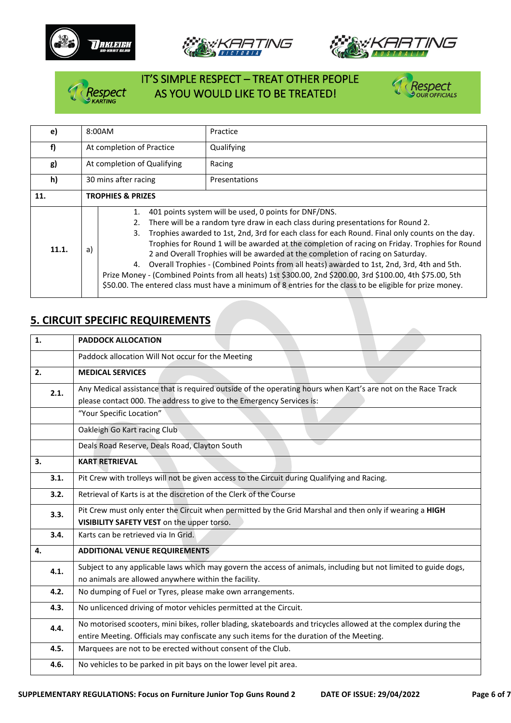







# IT'S SIMPLE RESPECT – TREAT OTHER PEOPLE RESPECT AS YOU WOULD LIKE TO BE TREATED!



| e)    | 8:00AM                       | Practice                                                                                                                                                                                                                                                                                                                                                                                                                                                                                                                                                                                                                                                                                                                                                    |  |  |
|-------|------------------------------|-------------------------------------------------------------------------------------------------------------------------------------------------------------------------------------------------------------------------------------------------------------------------------------------------------------------------------------------------------------------------------------------------------------------------------------------------------------------------------------------------------------------------------------------------------------------------------------------------------------------------------------------------------------------------------------------------------------------------------------------------------------|--|--|
| f)    | At completion of Practice    | Qualifying                                                                                                                                                                                                                                                                                                                                                                                                                                                                                                                                                                                                                                                                                                                                                  |  |  |
| g)    | At completion of Qualifying  | Racing                                                                                                                                                                                                                                                                                                                                                                                                                                                                                                                                                                                                                                                                                                                                                      |  |  |
| h)    | 30 mins after racing         | Presentations                                                                                                                                                                                                                                                                                                                                                                                                                                                                                                                                                                                                                                                                                                                                               |  |  |
| 11.   | <b>TROPHIES &amp; PRIZES</b> |                                                                                                                                                                                                                                                                                                                                                                                                                                                                                                                                                                                                                                                                                                                                                             |  |  |
| 11.1. | 1.<br>2.<br>3.<br>a)         | 401 points system will be used, 0 points for DNF/DNS.<br>There will be a random tyre draw in each class during presentations for Round 2.<br>Trophies awarded to 1st, 2nd, 3rd for each class for each Round. Final only counts on the day.<br>Trophies for Round 1 will be awarded at the completion of racing on Friday. Trophies for Round<br>2 and Overall Trophies will be awarded at the completion of racing on Saturday.<br>4. Overall Trophies - (Combined Points from all heats) awarded to 1st, 2nd, 3rd, 4th and 5th.<br>Prize Money - (Combined Points from all heats) 1st \$300.00, 2nd \$200.00, 3rd \$100.00, 4th \$75.00, 5th<br>\$50.00. The entered class must have a minimum of 8 entries for the class to be eligible for prize money. |  |  |

# **5. CIRCUIT SPECIFIC REQUIREMENTS**

| <b>PADDOCK ALLOCATION</b>                                                                                       |  |  |  |  |  |  |
|-----------------------------------------------------------------------------------------------------------------|--|--|--|--|--|--|
| Paddock allocation Will Not occur for the Meeting                                                               |  |  |  |  |  |  |
| <b>MEDICAL SERVICES</b>                                                                                         |  |  |  |  |  |  |
| Any Medical assistance that is required outside of the operating hours when Kart's are not on the Race Track    |  |  |  |  |  |  |
| please contact 000. The address to give to the Emergency Services is:                                           |  |  |  |  |  |  |
| "Your Specific Location"                                                                                        |  |  |  |  |  |  |
| Oakleigh Go Kart racing Club                                                                                    |  |  |  |  |  |  |
| Deals Road Reserve, Deals Road, Clayton South                                                                   |  |  |  |  |  |  |
| <b>KART RETRIEVAL</b>                                                                                           |  |  |  |  |  |  |
| Pit Crew with trolleys will not be given access to the Circuit during Qualifying and Racing.                    |  |  |  |  |  |  |
| Retrieval of Karts is at the discretion of the Clerk of the Course                                              |  |  |  |  |  |  |
| Pit Crew must only enter the Circuit when permitted by the Grid Marshal and then only if wearing a HIGH         |  |  |  |  |  |  |
| VISIBILITY SAFETY VEST on the upper torso.                                                                      |  |  |  |  |  |  |
| Karts can be retrieved via In Grid.                                                                             |  |  |  |  |  |  |
| <b>ADDITIONAL VENUE REQUIREMENTS</b>                                                                            |  |  |  |  |  |  |
| Subject to any applicable laws which may govern the access of animals, including but not limited to guide dogs, |  |  |  |  |  |  |
| no animals are allowed anywhere within the facility.                                                            |  |  |  |  |  |  |
| No dumping of Fuel or Tyres, please make own arrangements.                                                      |  |  |  |  |  |  |
| No unlicenced driving of motor vehicles permitted at the Circuit.                                               |  |  |  |  |  |  |
| No motorised scooters, mini bikes, roller blading, skateboards and tricycles allowed at the complex during the  |  |  |  |  |  |  |
| entire Meeting. Officials may confiscate any such items for the duration of the Meeting.                        |  |  |  |  |  |  |
| Marquees are not to be erected without consent of the Club.                                                     |  |  |  |  |  |  |
| No vehicles to be parked in pit bays on the lower level pit area.                                               |  |  |  |  |  |  |
|                                                                                                                 |  |  |  |  |  |  |